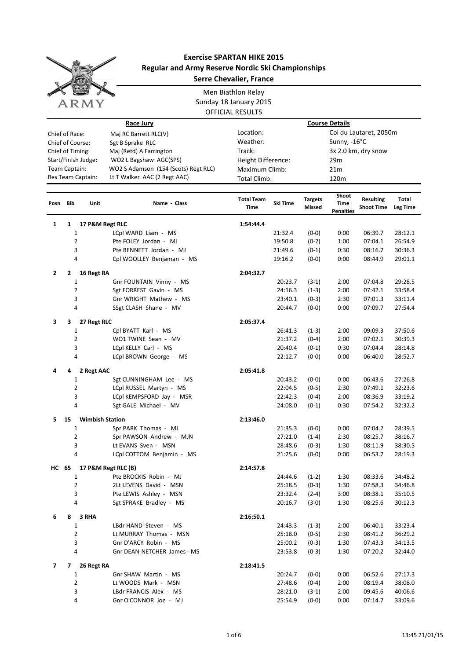

## **Exercise SPARTAN HIKE 2015 Regular and Army Reserve Nordic Ski Championships Serre Chevalier, France**

Men Biathlon Relay Sunday 18 January 2015 OFFICIAL RESULTS

| Race Jury        |                                         |                        |                                                 | <b>Course Details</b>             |                                     |                          |                                   |                                       |                    |  |
|------------------|-----------------------------------------|------------------------|-------------------------------------------------|-----------------------------------|-------------------------------------|--------------------------|-----------------------------------|---------------------------------------|--------------------|--|
|                  | Chief of Race:<br>Maj RC Barrett RLC(V) |                        |                                                 |                                   | Location:<br>Col du Lautaret, 2050m |                          |                                   |                                       |                    |  |
| Chief of Course: |                                         |                        | Sgt B Sprake RLC                                | Weather:                          |                                     |                          | Sunny, -16°C                      |                                       |                    |  |
| Chief of Timing: |                                         |                        | Maj (Retd) A Farrington                         | Track:                            |                                     |                          | 3x 2.0 km, dry snow               |                                       |                    |  |
|                  |                                         | Start/Finish Judge:    | WO2 L Bagshaw AGC(SPS)                          | Height Difference:<br>29m         |                                     |                          |                                   |                                       |                    |  |
| Team Captain:    |                                         |                        | WO2 S Adamson (154 (Scots) Regt RLC)            | Maximum Climb:<br>21 <sub>m</sub> |                                     |                          |                                   |                                       |                    |  |
|                  |                                         | Res Team Captain:      | Lt T Walker AAC (2 Regt AAC)                    | <b>Total Climb:</b>               |                                     |                          | 120m                              |                                       |                    |  |
|                  |                                         |                        |                                                 |                                   |                                     |                          |                                   |                                       |                    |  |
| Posn             | Bib                                     | Unit                   | Name - Class                                    | <b>Total Team</b><br>Time         | Ski Time                            | <b>Targets</b><br>Missed | Shoot<br>Time<br><b>Penalties</b> | <b>Resulting</b><br><b>Shoot Time</b> | Total<br>Leg Time  |  |
| 1                | $\mathbf{1}$                            | 17 P&M Regt RLC        |                                                 | 1:54:44.4                         |                                     |                          |                                   |                                       |                    |  |
|                  | 1                                       |                        | LCpl WARD Liam - MS                             |                                   | 21:32.4                             | $(0-0)$                  | 0:00                              | 06:39.7                               | 28:12.1            |  |
|                  | $\overline{2}$                          |                        | Pte FOLEY Jordan - MJ                           |                                   | 19:50.8                             | $(0-2)$                  | 1:00                              | 07:04.1                               | 26:54.9            |  |
|                  | 3                                       |                        | Pte BENNETT Jordan - MJ                         |                                   | 21:49.6                             | $(0-1)$                  | 0:30                              | 08:16.7                               | 30:36.3            |  |
|                  | 4                                       |                        | Cpl WOOLLEY Benjaman - MS                       |                                   | 19:16.2                             | $(0-0)$                  | 0:00                              | 08:44.9                               | 29:01.1            |  |
|                  |                                         |                        |                                                 |                                   |                                     |                          |                                   |                                       |                    |  |
| $\mathbf{2}$     | 2                                       | 16 Regt RA             |                                                 | 2:04:32.7                         |                                     |                          |                                   |                                       |                    |  |
|                  | 1                                       |                        | Gnr FOUNTAIN Vinny - MS                         |                                   | 20:23.7                             | $(3-1)$                  | 2:00                              | 07:04.8                               | 29:28.5            |  |
|                  | $\overline{2}$                          |                        | Sgt FORREST Gavin - MS                          |                                   | 24:16.3                             | $(1-3)$                  | 2:00                              | 07:42.1                               | 33:58.4            |  |
|                  | 3<br>4                                  |                        | Gnr WRIGHT Mathew - MS<br>SSgt CLASH Shane - MV |                                   | 23:40.1<br>20:44.7                  | $(0-3)$<br>$(0-0)$       | 2:30<br>0:00                      | 07:01.3<br>07:09.7                    | 33:11.4<br>27:54.4 |  |
|                  |                                         |                        |                                                 |                                   |                                     |                          |                                   |                                       |                    |  |
| 3                | 3                                       | 27 Regt RLC            |                                                 | 2:05:37.4                         |                                     |                          |                                   |                                       |                    |  |
|                  | 1                                       |                        | Cpl BYATT Karl - MS                             |                                   | 26:41.3                             | $(1-3)$                  | 2:00                              | 09:09.3                               | 37:50.6            |  |
|                  | $\overline{2}$                          |                        | WO1 TWINE Sean - MV                             |                                   | 21:37.2                             | $(0-4)$                  | 2:00                              | 07:02.1                               | 30:39.3            |  |
|                  | 3                                       |                        | LCpl KELLY Carl - MS                            |                                   | 20:40.4                             | $(0-1)$                  | 0:30                              | 07:04.4                               | 28:14.8            |  |
|                  | 4                                       |                        | LCpl BROWN George - MS                          |                                   | 22:12.7                             | $(0-0)$                  | 0:00                              | 06:40.0                               | 28:52.7            |  |
| 4                | 4                                       | 2 Regt AAC             |                                                 | 2:05:41.8                         |                                     |                          |                                   |                                       |                    |  |
|                  | 1                                       |                        | Sgt CUNNINGHAM Lee - MS                         |                                   | 20:43.2                             | $(0-0)$                  | 0:00                              | 06:43.6                               | 27:26.8            |  |
|                  | $\overline{2}$                          |                        | LCpl RUSSEL Martyn - MS                         |                                   | 22:04.5                             | $(0-5)$                  | 2:30                              | 07:49.1                               | 32:23.6            |  |
|                  | 3                                       |                        | LCpl KEMPSFORD Jay - MSR                        |                                   | 22:42.3                             | $(0-4)$                  | 2:00                              | 08:36.9                               | 33:19.2            |  |
|                  | 4                                       |                        | Sgt GALE Michael - MV                           |                                   | 24:08.0                             | $(0-1)$                  | 0:30                              | 07:54.2                               | 32:32.2            |  |
| 5.               | 15                                      | <b>Wimbish Station</b> |                                                 | 2:13:46.0                         |                                     |                          |                                   |                                       |                    |  |
|                  | 1                                       |                        | Spr PARK Thomas - MJ                            |                                   | 21:35.3                             | $(0-0)$                  | 0:00                              | 07:04.2                               | 28:39.5            |  |
|                  | 2                                       |                        | Spr PAWSON Andrew - MJN                         |                                   | 27:21.0                             | $(1-4)$                  | 2:30                              | 08:25.7                               | 38:16.7            |  |
|                  | 3                                       |                        | Lt EVANS Sven - MSN                             |                                   | 28:48.6                             | $(0-3)$                  | 1:30                              | 08:11.9                               | 38:30.5            |  |
|                  | 4                                       |                        | LCpl COTTOM Benjamin - MS                       |                                   | 21:25.6                             | $(0-0)$                  | 0:00                              | 06:53.7                               | 28:19.3            |  |
| HC 65            |                                         |                        | 17 P&M Regt RLC (B)                             | 2:14:57.8                         |                                     |                          |                                   |                                       |                    |  |
|                  | 1                                       |                        | Pte BROCKIS Robin - MJ                          |                                   | 24:44.6                             | $(1-2)$                  | 1:30                              | 08:33.6                               | 34:48.2            |  |
|                  | $\overline{2}$                          |                        | 2Lt LEVENS David - MSN                          |                                   | 25:18.5                             | $(0-3)$                  | 1:30                              | 07:58.3                               | 34:46.8            |  |
|                  | 3                                       |                        | Pte LEWIS Ashley - MSN                          |                                   | 23:32.4                             | $(2-4)$                  | 3:00                              | 08:38.1                               | 35:10.5            |  |
|                  | 4                                       |                        | Sgt SPRAKE Bradley - MS                         |                                   | 20:16.7                             | $(3-0)$                  | 1:30                              | 08:25.6                               | 30:12.3            |  |
|                  |                                         |                        |                                                 |                                   |                                     |                          |                                   |                                       |                    |  |
| 6                | 8                                       | 3 RHA                  |                                                 | 2:16:50.1                         |                                     |                          |                                   |                                       |                    |  |
|                  | 1                                       |                        | LBdr HAND Steven - MS                           |                                   | 24:43.3                             | $(1-3)$                  | 2:00                              | 06:40.1                               | 33:23.4            |  |
|                  | $\overline{2}$<br>3                     |                        | Lt MURRAY Thomas - MSN<br>Gnr D'ARCY Robin - MS |                                   | 25:18.0<br>25:00.2                  | $(0-5)$<br>$(0-3)$       | 2:30<br>1:30                      | 08:41.2<br>07:43.3                    | 36:29.2<br>34:13.5 |  |
|                  | 4                                       |                        | Gnr DEAN-NETCHER James - MS                     |                                   | 23:53.8                             | $(0-3)$                  | 1:30                              | 07:20.2                               | 32:44.0            |  |
|                  |                                         |                        |                                                 |                                   |                                     |                          |                                   |                                       |                    |  |
| 7                | 7                                       | 26 Regt RA             |                                                 | 2:18:41.5                         |                                     |                          |                                   |                                       |                    |  |
|                  | 1                                       |                        | Gnr SHAW Martin - MS                            |                                   | 20:24.7                             | $(0-0)$                  | 0:00                              | 06:52.6                               | 27:17.3            |  |
|                  | 2                                       |                        | Lt WOODS Mark - MSN                             |                                   | 27:48.6                             | $(0-4)$                  | 2:00                              | 08:19.4                               | 38:08.0            |  |
|                  | 3                                       |                        | LBdr FRANCIS Alex - MS                          |                                   | 28:21.0                             | $(3-1)$                  | 2:00                              | 09:45.6                               | 40:06.6            |  |
|                  | 4                                       |                        | Gnr O'CONNOR Joe - MJ                           |                                   | 25:54.9                             | $(0-0)$                  | 0:00                              | 07:14.7                               | 33:09.6            |  |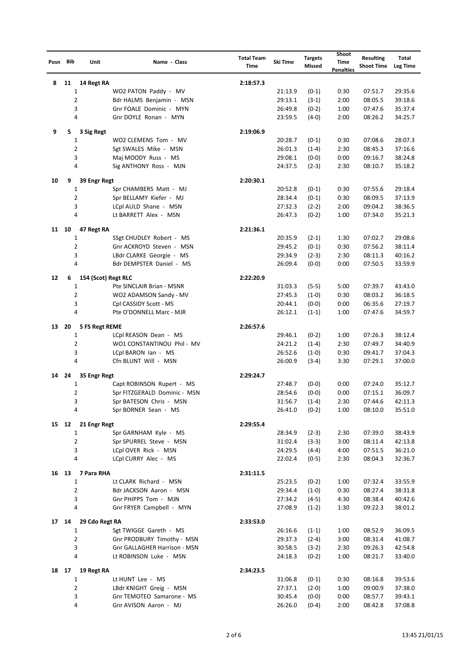| Posn Bib |       | Unit                | Name - Class                                           | <b>Total Team</b><br>Time | Ski Time           | <b>Targets</b><br>Missed | Shoot<br>Time<br><b>Penalties</b> | <b>Resulting</b><br><b>Shoot Time</b> | Total<br><b>Leg Time</b> |
|----------|-------|---------------------|--------------------------------------------------------|---------------------------|--------------------|--------------------------|-----------------------------------|---------------------------------------|--------------------------|
| 8        | 11    | 14 Regt RA          |                                                        | 2:18:57.3                 |                    |                          |                                   |                                       |                          |
|          |       | 1                   | WO2 PATON Paddy - MV                                   |                           | 21:13.9            | $(0-1)$                  | 0:30                              | 07:51.7                               | 29:35.6                  |
|          |       | 2                   | Bdr HALMS Benjamin - MSN                               |                           | 29:13.1            | $(3-1)$                  | 2:00                              | 08:05.5                               | 39:18.6                  |
|          |       | 3                   | Gnr FOALE Dominic - MYN                                |                           | 26:49.8            | $(0-2)$                  | 1:00                              | 07:47.6                               | 35:37.4                  |
|          |       | 4                   | Gnr DOYLE Ronan - MYN                                  |                           | 23:59.5            | $(4-0)$                  | 2:00                              | 08:26.2                               | 34:25.7                  |
| 9        | 5.    | 3 Sig Regt          |                                                        | 2:19:06.9                 |                    |                          |                                   |                                       |                          |
|          |       | 1                   | WO2 CLEMENS Tom - MV                                   |                           | 20:28.7            | $(0-1)$                  | 0:30                              | 07:08.6                               | 28:07.3                  |
|          |       | 2                   | Sgt SWALES Mike - MSN                                  |                           | 26:01.3            | $(1-4)$                  | 2:30                              | 08:45.3                               | 37:16.6                  |
|          |       | 3                   | Maj MOODY Russ - MS                                    |                           | 29:08.1            | $(0-0)$                  | 0:00                              | 09:16.7                               | 38:24.8                  |
|          |       | 4                   | Sig ANTHONY Ross - MJN                                 |                           | 24:37.5            | $(2-3)$                  | 2:30                              | 08:10.7                               | 35:18.2                  |
|          |       |                     |                                                        |                           |                    |                          |                                   |                                       |                          |
| 10       | 9     | 39 Engr Regt<br>1   |                                                        | 2:20:30.1                 |                    |                          |                                   |                                       |                          |
|          |       | 2                   | Spr CHAMBERS Matt - MJ<br>Spr BELLAMY Kiefer - MJ      |                           | 20:52.8<br>28:34.4 | $(0-1)$<br>$(0-1)$       | 0:30<br>0:30                      | 07:55.6<br>08:09.5                    | 29:18.4<br>37:13.9       |
|          |       | 3                   | LCpl AULD Shane - MSN                                  |                           | 27:32.3            | $(2-2)$                  | 2:00                              | 09:04.2                               | 38:36.5                  |
|          |       | 4                   | Lt BARRETT Alex - MSN                                  |                           | 26:47.3            | $(0-2)$                  | 1:00                              | 07:34.0                               | 35:21.3                  |
|          |       |                     |                                                        |                           |                    |                          |                                   |                                       |                          |
| 11 10    |       | 47 Regt RA          |                                                        | 2:21:36.1                 |                    |                          |                                   |                                       |                          |
|          |       | 1                   | SSgt CHUDLEY Robert - MS                               |                           | 20:35.9            | $(2-1)$                  | 1:30                              | 07:02.7                               | 29:08.6                  |
|          |       | 2                   | Gnr ACKROYD Steven - MSN                               |                           | 29:45.2            | $(0-1)$                  | 0:30                              | 07:56.2                               | 38:11.4                  |
|          |       | 3                   | LBdr CLARKE Georgie - MS                               |                           | 29:34.9            | $(2-3)$                  | 2:30                              | 08:11.3                               | 40:16.2                  |
|          |       | 4                   | Bdr DEMPSTER Daniel - MS                               |                           | 26:09.4            | $(0-0)$                  | 0:00                              | 07:50.5                               | 33:59.9                  |
| 12       | 6     | 154 (Scot) Regt RLC |                                                        | 2:22:20.9                 |                    |                          |                                   |                                       |                          |
|          |       | 1                   | Pte SINCLAIR Brian - MSNR                              |                           | 31:03.3            | $(5-5)$                  | 5:00                              | 07:39.7                               | 43:43.0                  |
|          |       | 2                   | WO2 ADAMSON Sandy - MV                                 |                           | 27:45.3            | $(1-0)$                  | 0:30                              | 08:03.2                               | 36:18.5                  |
|          |       | 3                   | Cpl CASSIDY Scott - MS                                 |                           | 20:44.1            | $(0-0)$                  | 0:00                              | 06:35.6                               | 27:19.7                  |
|          |       | 4                   | Pte O'DONNELL Marc - MJR                               |                           | 26:12.1            | $(1-1)$                  | 1:00                              | 07:47.6                               | 34:59.7                  |
| 13       | 20    | 5 FS Regt REME      |                                                        | 2:26:57.6                 |                    |                          |                                   |                                       |                          |
|          |       | 1                   | LCpl REASON Dean - MS                                  |                           | 29:46.1            | $(0-2)$                  | 1:00                              | 07:26.3                               | 38:12.4                  |
|          |       | 2                   | WO1 CONSTANTINOU Phil - MV                             |                           | 24:21.2            | $(1-4)$                  | 2:30                              | 07:49.7                               | 34:40.9                  |
|          |       | 3                   | LCpl BARON Ian - MS                                    |                           | 26:52.6            | $(1-0)$                  | 0:30                              | 09:41.7                               | 37:04.3                  |
|          |       | 4                   | Cfn BLUNT Will - MSN                                   |                           | 26:00.9            | $(3-4)$                  | 3:30                              | 07:29.1                               | 37:00.0                  |
| 14       | 24    | 35 Engr Regt        |                                                        | 2:29:24.7                 |                    |                          |                                   |                                       |                          |
|          |       | 1                   | Capt ROBINSON Rupert - MS                              |                           | 27:48.7            | $(0-0)$                  | 0:00                              | 07:24.0                               | 35:12.7                  |
|          |       | 2                   | Spr FITZGERALD Dominic - MSN                           |                           | 28:54.6            | $(0-0)$                  | 0:00                              | 07:15.1                               | 36:09.7                  |
|          |       | 3                   | Spr BATESON Chris - MSN                                |                           | 31:56.7            | $(1-4)$                  | 2:30                              | 07:44.6                               | 42:11.3                  |
|          |       | 4                   | Spr BORNER Sean - MS                                   |                           | 26:41.0            | $(0-2)$                  | 1:00                              | 08:10.0                               | 35:51.0                  |
|          | 15 12 | 21 Engr Regt        |                                                        | 2:29:55.4                 |                    |                          |                                   |                                       |                          |
|          |       | 1                   | Spr GARNHAM Kyle - MS                                  |                           | 28:34.9            | $(2-3)$                  | 2:30                              | 07:39.0                               | 38:43.9                  |
|          |       | $\overline{2}$      | Spr SPURREL Steve - MSN                                |                           | 31:02.4            | $(3-3)$                  | 3:00                              | 08:11.4                               | 42:13.8                  |
|          |       | 3                   | LCpl OVER Rick - MSN                                   |                           | 24:29.5            | $(4-4)$                  | 4:00                              | 07:51.5                               | 36:21.0                  |
|          |       | 4                   | LCpl CURRY Alec - MS                                   |                           | 22:02.4            | $(0-5)$                  | 2:30                              | 08:04.3                               | 32:36.7                  |
| 16 13    |       | 7 Para RHA          |                                                        | 2:31:11.5                 |                    |                          |                                   |                                       |                          |
|          |       | 1                   | Lt CLARK Richard - MSN                                 |                           | 25:23.5            | $(0-2)$                  | 1:00                              | 07:32.4                               | 33:55.9                  |
|          |       | 2                   | Bdr JACKSON Aaron - MSN                                |                           | 29:34.4            | $(1-0)$                  | 0:30                              | 08:27.4                               | 38:31.8                  |
|          |       | 3                   | Gnr PHIPPS Tom - MJN                                   |                           | 27:34.2            | $(4-5)$                  | 4:30                              | 08:38.4                               | 40:42.6                  |
|          |       | 4                   | Gnr FRYER Campbell - MYN                               |                           | 27:08.9            | $(1-2)$                  | 1:30                              | 09:22.3                               | 38:01.2                  |
|          |       |                     |                                                        |                           |                    |                          |                                   |                                       |                          |
|          | 17 14 | 29 Cdo Regt RA      |                                                        | 2:33:53.0                 |                    |                          |                                   |                                       |                          |
|          |       | 1<br>2              | Sgt TWIGGE Gareth - MS<br>Gnr PRODBURY Timothy - MSN   |                           | 26:16.6<br>29:37.3 | $(1-1)$<br>$(2-4)$       | 1:00<br>3:00                      | 08:52.9<br>08:31.4                    | 36:09.5                  |
|          |       | 3                   |                                                        |                           |                    |                          |                                   |                                       | 41:08.7                  |
|          |       | 4                   | Gnr GALLAGHER Harrison - MSN<br>Lt ROBINSON Luke - MSN |                           | 30:58.5<br>24:18.3 | $(3-2)$<br>$(0-2)$       | 2:30<br>1:00                      | 09:26.3<br>08:21.7                    | 42:54.8<br>33:40.0       |
|          |       |                     |                                                        |                           |                    |                          |                                   |                                       |                          |
| 18 17    |       | 19 Regt RA          |                                                        | 2:34:23.5                 |                    |                          |                                   |                                       |                          |
|          |       | 1                   | Lt HUNT Lee - MS                                       |                           | 31:06.8            | $(0-1)$                  | 0:30                              | 08:16.8                               | 39:53.6                  |
|          |       | 2                   | LBdr KNIGHT Greig - MSN                                |                           | 27:37.1            | $(2-0)$                  | 1:00                              | 09:00.9                               | 37:38.0                  |
|          |       | 3<br>4              | Gnr TEMOTEO Samarone - MS                              |                           | 30:45.4<br>26:26.0 | $(0-0)$                  | 0:00<br>2:00                      | 08:57.7                               | 39:43.1                  |
|          |       |                     | Gnr AVISON Aaron - MJ                                  |                           |                    | $(0-4)$                  |                                   | 08:42.8                               | 37:08.8                  |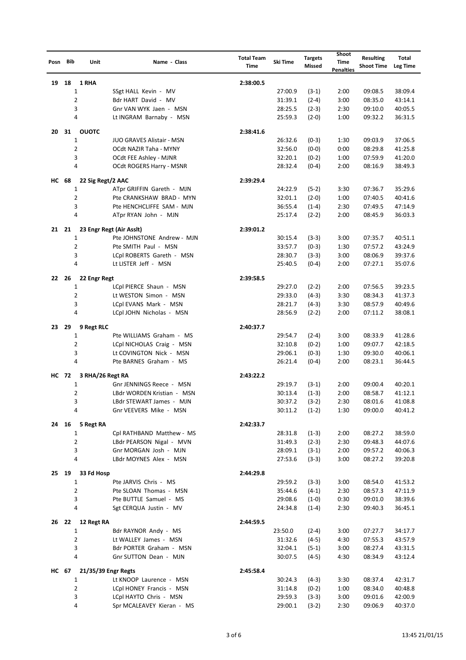| Posn Bib     |      | Unit                | Name - Class                                           | <b>Total Team</b><br>Time | Ski Time           | <b>Targets</b><br>Missed | Shoot<br>Time<br><b>Penalties</b> | <b>Resulting</b><br><b>Shoot Time</b> | Total<br>Leg Time  |
|--------------|------|---------------------|--------------------------------------------------------|---------------------------|--------------------|--------------------------|-----------------------------------|---------------------------------------|--------------------|
| 19           | 18   | 1 RHA               |                                                        | 2:38:00.5                 |                    |                          |                                   |                                       |                    |
|              |      | 1                   | SSgt HALL Kevin - MV                                   |                           | 27:00.9            | $(3-1)$                  | 2:00                              | 09:08.5                               | 38:09.4            |
|              |      | 2                   | Bdr HART David - MV                                    |                           | 31:39.1            | $(2-4)$                  | 3:00                              | 08:35.0                               | 43:14.1            |
|              |      | 3                   | Gnr VAN WYK Jaen - MSN                                 |                           | 28:25.5            | $(2-3)$                  | 2:30                              | 09:10.0                               | 40:05.5            |
|              |      | 4                   | Lt INGRAM Barnaby - MSN                                |                           | 25:59.3            | $(2-0)$                  | 1:00                              | 09:32.2                               | 36:31.5            |
| 20           | 31   | <b>OUOTC</b>        |                                                        | 2:38:41.6                 |                    |                          |                                   |                                       |                    |
|              |      | $\mathbf{1}$        | JUO GRAVES Alistair - MSN                              |                           | 26:32.6            | $(0-3)$                  | 1:30                              | 09:03.9                               | 37:06.5            |
|              |      | 2                   | OCdt NAZIR Taha - MYNY                                 |                           | 32:56.0            | $(0-0)$                  | 0:00                              | 08:29.8                               | 41:25.8            |
|              |      | 3                   | OCdt FEE Ashley - MJNR                                 |                           | 32:20.1            | $(0-2)$                  | 1:00                              | 07:59.9                               | 41:20.0            |
|              |      | 4                   | OCdt ROGERS Harry - MSNR                               |                           | 28:32.4            | $(0-4)$                  | 2:00                              | 08:16.9                               | 38:49.3            |
| HC 68        |      | 22 Sig Regt/2 AAC   |                                                        | 2:39:29.4                 |                    |                          |                                   |                                       |                    |
|              |      | 1                   | ATpr GRIFFIN Gareth - MJN                              |                           | 24:22.9            | $(5-2)$                  | 3:30                              | 07:36.7                               | 35:29.6            |
|              |      | 2                   | Pte CRANKSHAW BRAD - MYN                               |                           | 32:01.1            | $(2-0)$                  | 1:00                              | 07:40.5                               | 40:41.6            |
|              |      | 3                   | Pte HENCHCLIFFE SAM - MJN                              |                           | 36:55.4            | $(1-4)$                  | 2:30                              | 07:49.5                               | 47:14.9            |
|              |      | 4                   | ATpr RYAN John - MJN                                   |                           | 25:17.4            | $(2-2)$                  | 2:00                              | 08:45.9                               | 36:03.3            |
| 21 21        |      |                     | 23 Engr Regt (Air Asslt)                               | 2:39:01.2                 |                    |                          |                                   |                                       |                    |
|              |      | 1                   | Pte JOHNSTONE Andrew - MJN                             |                           | 30:15.4            | $(3-3)$                  | 3:00                              | 07:35.7                               | 40:51.1            |
|              |      | 2                   | Pte SMITH Paul - MSN                                   |                           | 33:57.7            | $(0-3)$                  | 1:30                              | 07:57.2                               | 43:24.9            |
|              |      | 3                   | LCpl ROBERTS Gareth - MSN                              |                           | 28:30.7            | $(3-3)$                  | 3:00                              | 08:06.9                               | 39:37.6            |
|              |      | 4                   | Lt LISTER Jeff - MSN                                   |                           | 25:40.5            | $(0-4)$                  | 2:00                              | 07:27.1                               | 35:07.6            |
| 22           | - 26 | 22 Engr Regt        |                                                        | 2:39:58.5                 |                    |                          |                                   |                                       |                    |
|              |      | 1                   | LCpl PIERCE Shaun - MSN                                |                           | 29:27.0            | $(2-2)$                  | 2:00                              | 07:56.5                               | 39:23.5            |
|              |      | 2                   | Lt WESTON Simon - MSN                                  |                           | 29:33.0            | $(4-3)$                  | 3:30                              | 08:34.3                               | 41:37.3            |
|              |      | 3                   | LCpl EVANS Mark - MSN                                  |                           | 28:21.7            | $(4-3)$                  | 3:30                              | 08:57.9                               | 40:49.6            |
|              |      | 4                   | LCpl JOHN Nicholas - MSN                               |                           | 28:56.9            | $(2-2)$                  | 2:00                              | 07:11.2                               | 38:08.1            |
| 23           | 29   | 9 Regt RLC          |                                                        | 2:40:37.7                 |                    |                          |                                   |                                       |                    |
|              |      | 1                   | Pte WILLIAMS Graham - MS                               |                           | 29:54.7            | $(2-4)$                  | 3:00                              | 08:33.9                               | 41:28.6            |
|              |      | 2                   | LCpl NICHOLAS Craig - MSN                              |                           | 32:10.8            | $(0-2)$                  | 1:00                              | 09:07.7                               | 42:18.5            |
|              |      | 3                   | Lt COVINGTON Nick - MSN                                |                           | 29:06.1            | $(0-3)$                  | 1:30                              | 09:30.0                               | 40:06.1            |
|              |      | 4                   | Pte BARNES Graham - MS                                 |                           | 26:21.4            | $(0-4)$                  | 2:00                              | 08:23.1                               | 36:44.5            |
|              |      |                     |                                                        |                           |                    |                          |                                   |                                       |                    |
| <b>HC</b> 72 |      | 3 RHA/26 Regt RA    |                                                        | 2:43:22.2                 |                    |                          |                                   |                                       |                    |
|              |      | 1<br>2              | Gnr JENNINGS Reece - MSN                               |                           | 29:19.7            | $(3-1)$                  | 2:00                              | 09:00.4                               | 40:20.1            |
|              |      | 3                   | LBdr WORDEN Kristian - MSN<br>LBdr STEWART James - MJN |                           | 30:13.4<br>30:37.2 | $(1-3)$<br>$(3-2)$       | 2:00<br>2:30                      | 08:58.7<br>08:01.6                    | 41:12.1<br>41:08.8 |
|              |      | 4                   | Gnr VEEVERS Mike - MSN                                 |                           | 30:11.2            | $(1-2)$                  | 1:30                              | 09:00.0                               | 40:41.2            |
|              |      |                     |                                                        |                           |                    |                          |                                   |                                       |                    |
| 24 16        |      | 5 Regt RA           |                                                        | 2:42:33.7                 |                    |                          |                                   |                                       |                    |
|              |      | 1<br>$\overline{2}$ | Cpl RATHBAND Matthew - MS                              |                           | 28:31.8            | $(1-3)$                  | 2:00                              | 08:27.2                               | 38:59.0            |
|              |      | 3                   | LBdr PEARSON Nigal - MVN                               |                           | 31:49.3            | $(2-3)$                  | 2:30                              | 09:48.3                               | 44:07.6            |
|              |      | 4                   | Gnr MORGAN Josh - MJN<br>LBdr MOYNES Alex - MSN        |                           | 28:09.1<br>27:53.6 | $(3-1)$<br>$(3-3)$       | 2:00<br>3:00                      | 09:57.2<br>08:27.2                    | 40:06.3<br>39:20.8 |
|              |      |                     |                                                        |                           |                    |                          |                                   |                                       |                    |
| 25 19        |      | 33 Fd Hosp          |                                                        | 2:44:29.8                 |                    |                          |                                   |                                       |                    |
|              |      | 1                   | Pte JARVIS Chris - MS                                  |                           | 29:59.2            | $(3-3)$                  | 3:00                              | 08:54.0                               | 41:53.2            |
|              |      | 2                   | Pte SLOAN Thomas - MSN                                 |                           | 35:44.6            | $(4-1)$                  | 2:30                              | 08:57.3                               | 47:11.9            |
|              |      | 3                   | Pte BUTTLE Samuel - MS                                 |                           | 29:08.6            | $(1-0)$                  | 0:30                              | 09:01.0                               | 38:39.6            |
|              |      | 4                   | Sgt CERQUA Justin - MV                                 |                           | 24:34.8            | $(1-4)$                  | 2:30                              | 09:40.3                               | 36:45.1            |
| 26 22        |      | 12 Regt RA          |                                                        | 2:44:59.5                 |                    |                          |                                   |                                       |                    |
|              |      | 1                   | Bdr RAYNOR Andy - MS                                   |                           | 23:50.0            | $(2-4)$                  | 3:00                              | 07:27.7                               | 34:17.7            |
|              |      | 2                   | Lt WALLEY James - MSN                                  |                           | 31:32.6            | $(4-5)$                  | 4:30                              | 07:55.3                               | 43:57.9            |
|              |      | 3                   | Bdr PORTER Graham - MSN                                |                           | 32:04.1            | $(5-1)$                  | 3:00                              | 08:27.4                               | 43:31.5            |
|              |      | 4                   | Gnr SUTTON Dean - MJN                                  |                           | 30:07.5            | $(4-5)$                  | 4:30                              | 08:34.9                               | 43:12.4            |
| HC 67        |      | 21/35/39 Engr Regts |                                                        | 2:45:58.4                 |                    |                          |                                   |                                       |                    |
|              |      | 1                   | Lt KNOOP Laurence - MSN                                |                           | 30:24.3            | $(4-3)$                  | 3:30                              | 08:37.4                               | 42:31.7            |
|              |      | 2                   | LCpl HONEY Francis - MSN                               |                           | 31:14.8            | $(0-2)$                  | 1:00                              | 08:34.0                               | 40:48.8            |
|              |      | 3                   | LCpl HAYTO Chris - MSN                                 |                           | 29:59.3            | $(3-3)$                  | 3:00                              | 09:01.6                               | 42:00.9            |
|              |      | 4                   | Spr MCALEAVEY Kieran - MS                              |                           | 29:00.1            | $(3-2)$                  | 2:30                              | 09:06.9                               | 40:37.0            |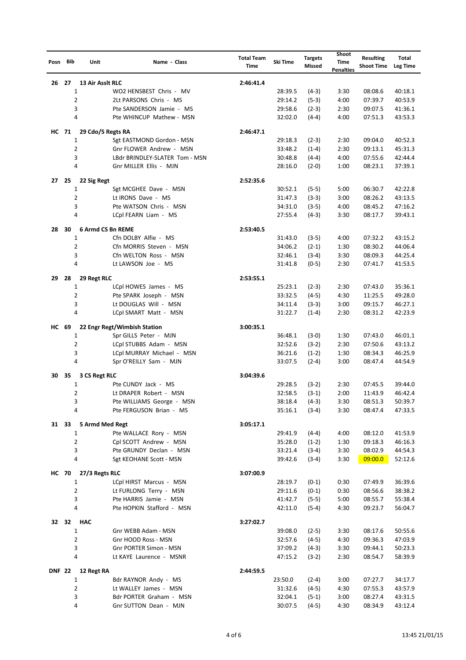| Posn Bib      |    | Unit             | Name - Class                                        | <b>Total Team</b><br><b>Time</b> | Ski Time           | <b>Targets</b><br>Missed | Shoot<br>Time<br><b>Penalties</b> | <b>Resulting</b><br><b>Shoot Time</b> | Total<br><b>Leg Time</b> |
|---------------|----|------------------|-----------------------------------------------------|----------------------------------|--------------------|--------------------------|-----------------------------------|---------------------------------------|--------------------------|
| 26            | 27 |                  | 13 Air Asslt RLC                                    | 2:46:41.4                        |                    |                          |                                   |                                       |                          |
|               |    | 1                | WO2 HENSBEST Chris - MV                             |                                  | 28:39.5            | $(4-3)$                  | 3:30                              | 08:08.6                               | 40:18.1                  |
|               |    | 2                | 2Lt PARSONS Chris - MS                              |                                  | 29:14.2            | $(5-3)$                  | 4:00                              | 07:39.7                               | 40:53.9                  |
|               |    | 3                | Pte SANDERSON Jamie - MS                            |                                  | 29:58.6            | $(2-3)$                  | 2:30                              | 09:07.5                               | 41:36.1                  |
|               |    | 4                | Pte WHINCUP Mathew - MSN                            |                                  | 32:02.0            | $(4-4)$                  | 4:00                              | 07:51.3                               | 43:53.3                  |
| HC 71         |    |                  | 29 Cdo/5 Regts RA                                   | 2:46:47.1                        |                    |                          |                                   |                                       |                          |
|               |    | $\mathbf{1}$     | Sgt EASTMOND Gordon - MSN                           |                                  | 29:18.3            | $(2-3)$                  | 2:30                              | 09:04.0                               | 40:52.3                  |
|               |    | 2                | Gnr FLOWER Andrew - MSN                             |                                  | 33:48.2            | $(1-4)$                  | 2:30                              | 09:13.1                               | 45:31.3                  |
|               |    | 3                | LBdr BRINDLEY-SLATER Tom - MSN                      |                                  | 30:48.8            | $(4-4)$                  | 4:00                              | 07:55.6                               | 42:44.4                  |
|               |    | 4                | Gnr MILLER Ellis - MJN                              |                                  | 28:16.0            | $(2-0)$                  | 1:00                              | 08:23.1                               | 37:39.1                  |
| 27 25         |    | 22 Sig Regt      |                                                     | 2:52:35.6                        |                    |                          |                                   |                                       |                          |
|               |    | 1                | Sgt MCGHEE Dave - MSN                               |                                  | 30:52.1            | $(5-5)$                  | 5:00                              | 06:30.7                               | 42:22.8                  |
|               |    | 2                | Lt IRONS Dave - MS                                  |                                  | 31:47.3            | $(3-3)$                  | 3:00                              | 08:26.2                               | 43:13.5                  |
|               |    | 3                | Pte WATSON Chris - MSN                              |                                  | 34:31.0            | $(3-5)$                  | 4:00                              | 08:45.2                               | 47:16.2                  |
|               |    | 4                | LCpl FEARN Liam - MS                                |                                  | 27:55.4            | $(4-3)$                  | 3:30                              | 08:17.7                               | 39:43.1                  |
| 28            | 30 |                  | <b>6 Armd CS Bn REME</b>                            | 2:53:40.5                        |                    |                          |                                   |                                       |                          |
|               |    | 1                | Cfn DOLBY Alfie - MS                                |                                  | 31:43.0            | $(3-5)$                  | 4:00                              | 07:32.2                               | 43:15.2                  |
|               |    | $\overline{2}$   | Cfn MORRIS Steven - MSN                             |                                  | 34:06.2            | $(2-1)$                  | 1:30                              | 08:30.2                               | 44:06.4                  |
|               |    | 3                | Cfn WELTON Ross - MSN                               |                                  | 32:46.1            | $(3-4)$                  | 3:30                              | 08:09.3                               | 44:25.4                  |
|               |    | 4                | Lt LAWSON Joe - MS                                  |                                  | 31:41.8            | $(0-5)$                  | 2:30                              | 07:41.7                               | 41:53.5                  |
|               |    |                  |                                                     |                                  |                    |                          |                                   |                                       |                          |
| 29            | 28 | 29 Regt RLC<br>1 | LCpl HOWES James - MS                               | 2:53:55.1                        | 25:23.1            | $(2-3)$                  | 2:30                              | 07:43.0                               | 35:36.1                  |
|               |    | 2                | Pte SPARK Joseph - MSN                              |                                  | 33:32.5            | $(4-5)$                  | 4:30                              | 11:25.5                               | 49:28.0                  |
|               |    | 3                | Lt DOUGLAS Will - MSN                               |                                  | 34:11.4            | $(3-3)$                  | 3:00                              | 09:15.7                               | 46:27.1                  |
|               |    | 4                | LCpl SMART Matt - MSN                               |                                  | 31:22.7            | $(1-4)$                  | 2:30                              | 08:31.2                               | 42:23.9                  |
|               |    |                  |                                                     |                                  |                    |                          |                                   |                                       |                          |
| HC 69         |    |                  | 22 Engr Regt/Wimbish Station                        | 3:00:35.1                        |                    |                          |                                   |                                       |                          |
|               |    | 1                | Spr GILLS Peter - MJN                               |                                  | 36:48.1            | $(3-0)$                  | 1:30                              | 07:43.0                               | 46:01.1                  |
|               |    | 2                | LCpl STUBBS Adam - MSN                              |                                  | 32:52.6            | $(3-2)$                  | 2:30                              | 07:50.6                               | 43:13.2                  |
|               |    | 3<br>4           | LCpl MURRAY Michael - MSN<br>Spr O'REILLY Sam - MJN |                                  | 36:21.6<br>33:07.5 | $(1-2)$<br>$(2-4)$       | 1:30<br>3:00                      | 08:34.3<br>08:47.4                    | 46:25.9<br>44:54.9       |
|               |    |                  |                                                     |                                  |                    |                          |                                   |                                       |                          |
| 30            | 35 | 3 CS Regt RLC    |                                                     | 3:04:39.6                        |                    |                          |                                   |                                       |                          |
|               |    | 1                | Pte CUNDY Jack - MS                                 |                                  | 29:28.5            | $(3-2)$                  | 2:30                              | 07:45.5                               | 39:44.0                  |
|               |    | 2                | Lt DRAPER Robert - MSN                              |                                  | 32:58.5            | $(3-1)$                  | 2:00                              | 11:43.9                               | 46:42.4                  |
|               |    | 3                | Pte WILLIAMS George - MSN                           |                                  | 38:18.4            | $(4-3)$                  | 3:30                              | 08:51.3                               | 50:39.7                  |
|               |    | 4                | Pte FERGUSON Brian - MS                             |                                  | 35:16.1            | $(3-4)$                  | 3:30                              | 08:47.4                               | 47:33.5                  |
| 31 33         |    |                  | 5 Armd Med Regt                                     | 3:05:17.1                        |                    |                          |                                   |                                       |                          |
|               |    | 1                | Pte WALLACE Rory - MSN                              |                                  | 29:41.9            | $(4-4)$                  | 4:00                              | 08:12.0                               | 41:53.9                  |
|               |    | $\overline{2}$   | Cpl SCOTT Andrew - MSN                              |                                  | 35:28.0            | $(1-2)$                  | 1:30                              | 09:18.3                               | 46:16.3                  |
|               |    | 3                | Pte GRUNDY Declan - MSN                             |                                  | 33:21.4            | $(3-4)$                  | 3:30                              | 08:02.9                               | 44:54.3                  |
|               |    | 4                | Sgt KEOHANE Scott - MSN                             |                                  | 39:42.6            | $(3-4)$                  | 3:30                              | 09:00.0                               | 52:12.6                  |
| <b>HC 70</b>  |    | 27/3 Regts RLC   |                                                     | 3:07:00.9                        |                    |                          |                                   |                                       |                          |
|               |    | 1                | LCpl HIRST Marcus - MSN                             |                                  | 28:19.7            | $(0-1)$                  | 0:30                              | 07:49.9                               | 36:39.6                  |
|               |    | 2                | Lt FURLONG Terry - MSN                              |                                  | 29:11.6            | $(0-1)$                  | 0:30                              | 08:56.6                               | 38:38.2                  |
|               |    | 3                | Pte HARRIS Jamie - MSN                              |                                  | 41:42.7            | $(5-5)$                  | 5:00                              | 08:55.7                               | 55:38.4                  |
|               |    | 4                | Pte HOPKIN Stafford - MSN                           |                                  | 42:11.0            | $(5-4)$                  | 4:30                              | 09:23.7                               | 56:04.7                  |
| 32 32         |    | <b>HAC</b>       |                                                     | 3:27:02.7                        |                    |                          |                                   |                                       |                          |
|               |    | 1                | Gnr WEBB Adam - MSN                                 |                                  | 39:08.0            | $(2-5)$                  | 3:30                              | 08:17.6                               | 50:55.6                  |
|               |    | 2                | Gnr HOOD Ross - MSN                                 |                                  | 32:57.6            | $(4-5)$                  | 4:30                              | 09:36.3                               | 47:03.9                  |
|               |    | 3                | Gnr PORTER Simon - MSN                              |                                  | 37:09.2            | $(4-3)$                  | 3:30                              | 09:44.1                               | 50:23.3                  |
|               |    | 4                | Lt KAYE Laurence - MSNR                             |                                  | 47:15.2            | $(3-2)$                  | 2:30                              | 08:54.7                               | 58:39.9                  |
| <b>DNF 22</b> |    | 12 Regt RA       |                                                     | 2:44:59.5                        |                    |                          |                                   |                                       |                          |
|               |    | 1                | Bdr RAYNOR Andy - MS                                |                                  | 23:50.0            | $(2-4)$                  | 3:00                              | 07:27.7                               | 34:17.7                  |
|               |    | 2                | Lt WALLEY James - MSN                               |                                  | 31:32.6            | $(4-5)$                  | 4:30                              | 07:55.3                               | 43:57.9                  |
|               |    | 3                | Bdr PORTER Graham - MSN                             |                                  | 32:04.1            | $(5-1)$                  | 3:00                              | 08:27.4                               | 43:31.5                  |
|               |    | 4                | Gnr SUTTON Dean - MJN                               |                                  | 30:07.5            | $(4-5)$                  | 4:30                              | 08:34.9                               | 43:12.4                  |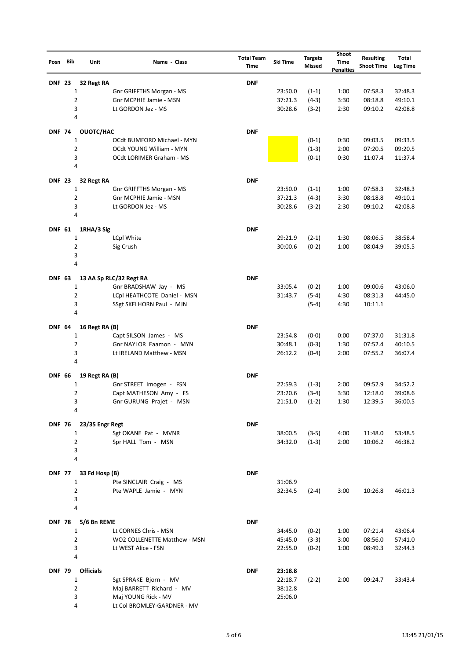| Posn Bib      | Unit                            | Name - Class                                           | <b>Total Team</b><br><b>Time</b> | Ski Time           | <b>Targets</b><br><b>Missed</b> | Shoot<br><b>Time</b><br><b>Penalties</b> | <b>Resulting</b><br><b>Shoot Time</b> | Total<br><b>Leg Time</b> |
|---------------|---------------------------------|--------------------------------------------------------|----------------------------------|--------------------|---------------------------------|------------------------------------------|---------------------------------------|--------------------------|
| <b>DNF 23</b> | 32 Regt RA                      |                                                        | <b>DNF</b>                       |                    |                                 |                                          |                                       |                          |
|               | 1                               | Gnr GRIFFTHS Morgan - MS                               |                                  | 23:50.0            | $(1-1)$                         | 1:00                                     | 07:58.3                               | 32:48.3                  |
|               | $\overline{2}$                  | Gnr MCPHIE Jamie - MSN                                 |                                  | 37:21.3            | $(4-3)$                         | 3:30                                     | 08:18.8                               | 49:10.1                  |
|               | 3<br>4                          | Lt GORDON Jez - MS                                     |                                  | 30:28.6            | $(3-2)$                         | 2:30                                     | 09:10.2                               | 42:08.8                  |
|               |                                 |                                                        |                                  |                    |                                 |                                          |                                       |                          |
| <b>DNF 74</b> | OUOTC/HAC                       |                                                        | <b>DNF</b>                       |                    |                                 |                                          |                                       |                          |
|               | 1<br>$\overline{2}$             | OCdt BUMFORD Michael - MYN<br>OCdt YOUNG William - MYN |                                  |                    | $(0-1)$<br>$(1-3)$              | 0:30<br>2:00                             | 09:03.5<br>07:20.5                    | 09:33.5<br>09:20.5       |
|               | 3                               | OCdt LORIMER Graham - MS                               |                                  |                    | $(0-1)$                         | 0:30                                     | 11:07.4                               | 11:37.4                  |
|               | 4                               |                                                        |                                  |                    |                                 |                                          |                                       |                          |
| <b>DNF 23</b> | 32 Regt RA                      |                                                        | <b>DNF</b>                       |                    |                                 |                                          |                                       |                          |
|               | 1                               | Gnr GRIFFTHS Morgan - MS                               |                                  | 23:50.0            | $(1-1)$                         | 1:00                                     | 07:58.3                               | 32:48.3                  |
|               | $\overline{2}$                  | Gnr MCPHIE Jamie - MSN                                 |                                  | 37:21.3            | $(4-3)$                         | 3:30                                     | 08:18.8                               | 49:10.1                  |
|               | 3<br>4                          | Lt GORDON Jez - MS                                     |                                  | 30:28.6            | $(3-2)$                         | 2:30                                     | 09:10.2                               | 42:08.8                  |
|               |                                 |                                                        |                                  |                    |                                 |                                          |                                       |                          |
| <b>DNF 61</b> | 1RHA/3 Sig                      |                                                        | <b>DNF</b>                       |                    |                                 |                                          |                                       |                          |
|               | 1<br>2                          | LCpl White<br>Sig Crush                                |                                  | 29:21.9<br>30:00.6 | $(2-1)$<br>$(0-2)$              | 1:30<br>1:00                             | 08:06.5<br>08:04.9                    | 38:58.4<br>39:05.5       |
|               | 3                               |                                                        |                                  |                    |                                 |                                          |                                       |                          |
|               | 4                               |                                                        |                                  |                    |                                 |                                          |                                       |                          |
| <b>DNF 63</b> |                                 | 13 AA Sp RLC/32 Regt RA                                | <b>DNF</b>                       |                    |                                 |                                          |                                       |                          |
|               | 1                               | Gnr BRADSHAW Jay - MS                                  |                                  | 33:05.4            | $(0-2)$                         | 1:00                                     | 09:00.6                               | 43:06.0                  |
|               | $\overline{2}$                  | LCpl HEATHCOTE Daniel - MSN                            |                                  | 31:43.7            | $(5-4)$                         | 4:30                                     | 08:31.3                               | 44:45.0                  |
|               | 3<br>4                          | SSgt SKELHORN Paul - MJN                               |                                  |                    | $(5-4)$                         | 4:30                                     | 10:11.1                               |                          |
|               |                                 |                                                        |                                  |                    |                                 |                                          |                                       |                          |
| <b>DNF 64</b> | 16 Regt RA (B)<br>$\mathbf{1}$  | Capt SILSON James - MS                                 | <b>DNF</b>                       | 23:54.8            | $(0-0)$                         | 0:00                                     | 07:37.0                               | 31:31.8                  |
|               | $\overline{2}$                  | Gnr NAYLOR Eaamon - MYN                                |                                  | 30:48.1            | $(0-3)$                         | 1:30                                     | 07:52.4                               | 40:10.5                  |
|               | 3                               | Lt IRELAND Matthew - MSN                               |                                  | 26:12.2            | $(0-4)$                         | 2:00                                     | 07:55.2                               | 36:07.4                  |
|               | 4                               |                                                        |                                  |                    |                                 |                                          |                                       |                          |
| <b>DNF 66</b> | 19 Regt RA (B)                  |                                                        | <b>DNF</b>                       |                    |                                 |                                          |                                       |                          |
|               | 1                               | Gnr STREET Imogen - FSN                                |                                  | 22:59.3            | $(1-3)$                         | 2:00                                     | 09:52.9                               | 34:52.2                  |
|               | $\overline{2}$                  | Capt MATHESON Amy - FS                                 |                                  | 23:20.6            | $(3-4)$                         | 3:30                                     | 12:18.0                               | 39:08.6                  |
|               | 3<br>4                          | Gnr GURUNG Prajet - MSN                                |                                  | 21:51.0            | $(1-2)$                         | 1:30                                     | 12:39.5                               | 36:00.5                  |
|               |                                 |                                                        |                                  |                    |                                 |                                          |                                       |                          |
| <b>DNF 76</b> | 23/35 Engr Regt<br>$\mathbf{1}$ | Sgt OKANE Pat - MVNR                                   | <b>DNF</b>                       | 38:00.5            | $(3-5)$                         | 4:00                                     | 11:48.0                               | 53:48.5                  |
|               | $\overline{2}$                  | Spr HALL Tom - MSN                                     |                                  | 34:32.0            | $(1-3)$                         | 2:00                                     | 10:06.2                               | 46:38.2                  |
|               | 3                               |                                                        |                                  |                    |                                 |                                          |                                       |                          |
|               | $\overline{4}$                  |                                                        |                                  |                    |                                 |                                          |                                       |                          |
| <b>DNF 77</b> | 33 Fd Hosp (B)                  |                                                        | <b>DNF</b>                       |                    |                                 |                                          |                                       |                          |
|               | $\mathbf{1}$                    | Pte SINCLAIR Craig - MS                                |                                  | 31:06.9            |                                 |                                          |                                       |                          |
|               | $\overline{2}$                  | Pte WAPLE Jamie - MYN                                  |                                  | 32:34.5            | $(2-4)$                         | 3:00                                     | 10:26.8                               | 46:01.3                  |
|               | 3<br>4                          |                                                        |                                  |                    |                                 |                                          |                                       |                          |
|               |                                 |                                                        |                                  |                    |                                 |                                          |                                       |                          |
| <b>DNF 78</b> | 5/6 Bn REME<br>$\mathbf{1}$     | Lt CORNES Chris - MSN                                  | <b>DNF</b>                       | 34:45.0            | $(0-2)$                         | 1:00                                     | 07:21.4                               | 43:06.4                  |
|               | $\overline{2}$                  | WO2 COLLENETTE Matthew - MSN                           |                                  | 45:45.0            | $(3-3)$                         | 3:00                                     | 08:56.0                               | 57:41.0                  |
|               | 3                               | Lt WEST Alice - FSN                                    |                                  | 22:55.0            | $(0-2)$                         | 1:00                                     | 08:49.3                               | 32:44.3                  |
|               | 4                               |                                                        |                                  |                    |                                 |                                          |                                       |                          |
| <b>DNF 79</b> | <b>Officials</b>                |                                                        | <b>DNF</b>                       | 23:18.8            |                                 |                                          |                                       |                          |
|               | $\mathbf{1}$                    | Sgt SPRAKE Bjorn - MV                                  |                                  | 22:18.7            | $(2-2)$                         | 2:00                                     | 09:24.7                               | 33:43.4                  |
|               | $\overline{2}$                  | Maj BARRETT Richard - MV                               |                                  | 38:12.8            |                                 |                                          |                                       |                          |
|               | 3<br>4                          | Maj YOUNG Rick - MV<br>Lt Col BROMLEY-GARDNER - MV     |                                  | 25:06.0            |                                 |                                          |                                       |                          |